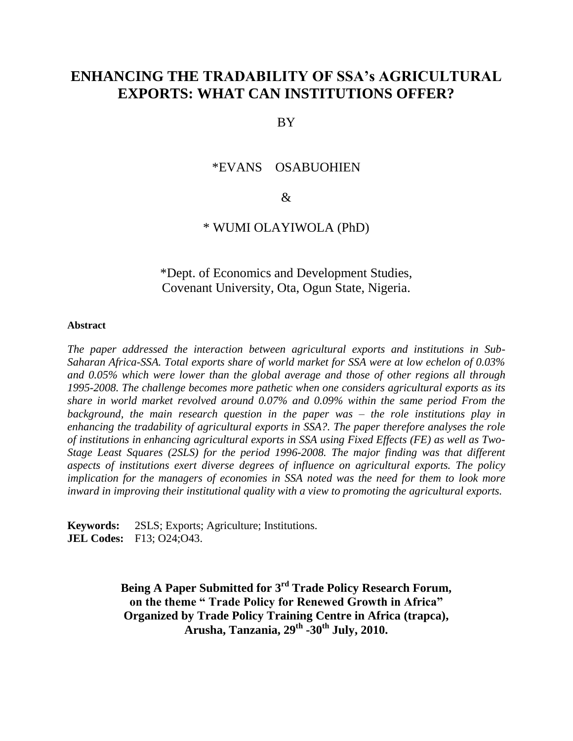# **ENHANCING THE TRADABILITY OF SSA's AGRICULTURAL EXPORTS: WHAT CAN INSTITUTIONS OFFER?**

BY

## \*EVANS OSABUOHIEN

## &

# \* WUMI OLAYIWOLA (PhD)

\*Dept. of Economics and Development Studies, Covenant University, Ota, Ogun State, Nigeria.

#### **Abstract**

*The paper addressed the interaction between agricultural exports and institutions in Sub-Saharan Africa-SSA. Total exports share of world market for SSA were at low echelon of 0.03% and 0.05% which were lower than the global average and those of other regions all through 1995-2008. The challenge becomes more pathetic when one considers agricultural exports as its share in world market revolved around 0.07% and 0.09% within the same period From the background, the main research question in the paper was – the role institutions play in enhancing the tradability of agricultural exports in SSA?. The paper therefore analyses the role of institutions in enhancing agricultural exports in SSA using Fixed Effects (FE) as well as Two-Stage Least Squares (2SLS) for the period 1996-2008. The major finding was that different aspects of institutions exert diverse degrees of influence on agricultural exports. The policy implication for the managers of economies in SSA noted was the need for them to look more inward in improving their institutional quality with a view to promoting the agricultural exports.*

**Keywords:** 2SLS; Exports; Agriculture; Institutions. **JEL Codes:**F13; O24;O43.

> **Being A Paper Submitted for 3 rd Trade Policy Research Forum, on the theme " Trade Policy for Renewed Growth in Africa" Organized by Trade Policy Training Centre in Africa (trapca), Arusha, Tanzania, 29th -30th July, 2010.**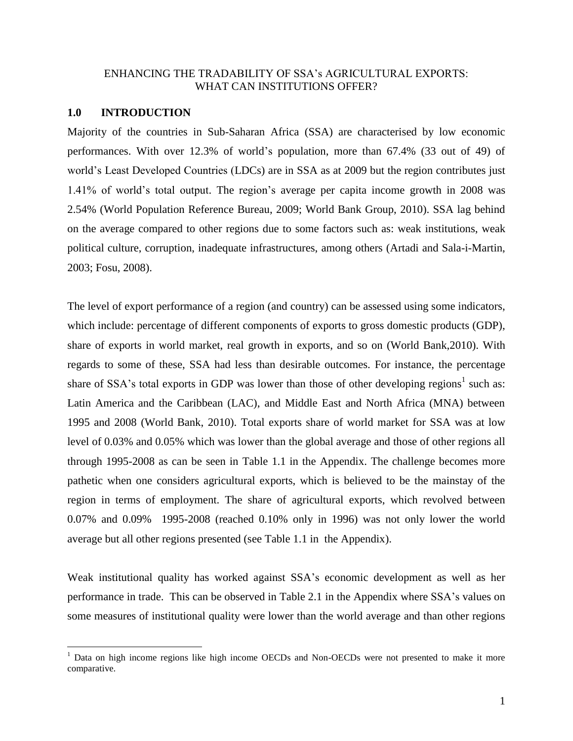# ENHANCING THE TRADABILITY OF SSA"s AGRICULTURAL EXPORTS: WHAT CAN INSTITUTIONS OFFER?

## **1.0 INTRODUCTION**

 $\overline{a}$ 

Majority of the countries in Sub-Saharan Africa (SSA) are characterised by low economic performances. With over 12.3% of world"s population, more than 67.4% (33 out of 49) of world"s Least Developed Countries (LDCs) are in SSA as at 2009 but the region contributes just 1.41% of world"s total output. The region"s average per capita income growth in 2008 was 2.54% (World Population Reference Bureau, 2009; World Bank Group, 2010). SSA lag behind on the average compared to other regions due to some factors such as: weak institutions, weak political culture, corruption, inadequate infrastructures, among others (Artadi and Sala-i-Martin, 2003; Fosu, 2008).

The level of export performance of a region (and country) can be assessed using some indicators, which include: percentage of different components of exports to gross domestic products (GDP), share of exports in world market, real growth in exports, and so on (World Bank,2010). With regards to some of these, SSA had less than desirable outcomes. For instance, the percentage share of SSA's total exports in GDP was lower than those of other developing regions<sup>1</sup> such as: Latin America and the Caribbean (LAC), and Middle East and North Africa (MNA) between 1995 and 2008 (World Bank, 2010). Total exports share of world market for SSA was at low level of 0.03% and 0.05% which was lower than the global average and those of other regions all through 1995-2008 as can be seen in Table 1.1 in the Appendix. The challenge becomes more pathetic when one considers agricultural exports, which is believed to be the mainstay of the region in terms of employment. The share of agricultural exports, which revolved between 0.07% and 0.09% 1995-2008 (reached 0.10% only in 1996) was not only lower the world average but all other regions presented (see Table 1.1 in the Appendix).

Weak institutional quality has worked against SSA"s economic development as well as her performance in trade. This can be observed in Table 2.1 in the Appendix where SSA"s values on some measures of institutional quality were lower than the world average and than other regions

<sup>&</sup>lt;sup>1</sup> Data on high income regions like high income OECDs and Non-OECDs were not presented to make it more comparative.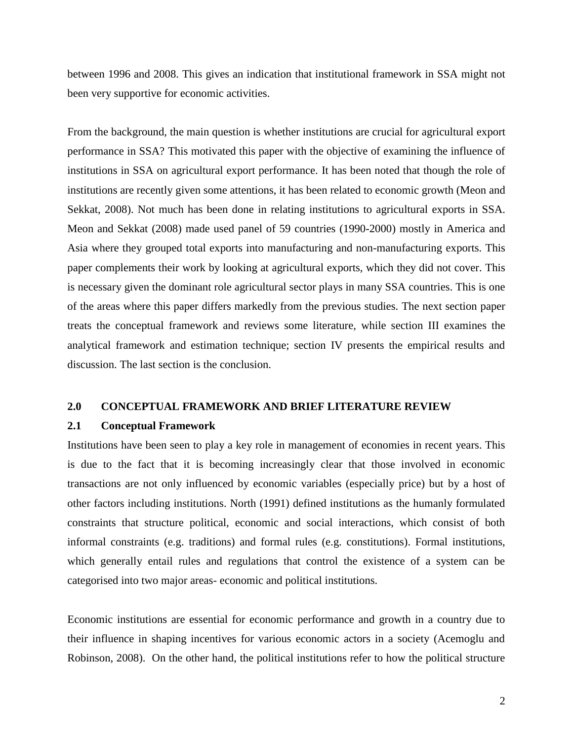between 1996 and 2008. This gives an indication that institutional framework in SSA might not been very supportive for economic activities.

From the background, the main question is whether institutions are crucial for agricultural export performance in SSA? This motivated this paper with the objective of examining the influence of institutions in SSA on agricultural export performance. It has been noted that though the role of institutions are recently given some attentions, it has been related to economic growth (Meon and Sekkat, 2008). Not much has been done in relating institutions to agricultural exports in SSA. Meon and Sekkat (2008) made used panel of 59 countries (1990-2000) mostly in America and Asia where they grouped total exports into manufacturing and non-manufacturing exports. This paper complements their work by looking at agricultural exports, which they did not cover. This is necessary given the dominant role agricultural sector plays in many SSA countries. This is one of the areas where this paper differs markedly from the previous studies. The next section paper treats the conceptual framework and reviews some literature, while section III examines the analytical framework and estimation technique; section IV presents the empirical results and discussion. The last section is the conclusion.

## **2.0 CONCEPTUAL FRAMEWORK AND BRIEF LITERATURE REVIEW**

#### **2.1 Conceptual Framework**

Institutions have been seen to play a key role in management of economies in recent years. This is due to the fact that it is becoming increasingly clear that those involved in economic transactions are not only influenced by economic variables (especially price) but by a host of other factors including institutions. North (1991) defined institutions as the humanly formulated constraints that structure political, economic and social interactions, which consist of both informal constraints (e.g. traditions) and formal rules (e.g. constitutions). Formal institutions, which generally entail rules and regulations that control the existence of a system can be categorised into two major areas- economic and political institutions.

Economic institutions are essential for economic performance and growth in a country due to their influence in shaping incentives for various economic actors in a society (Acemoglu and Robinson, 2008). On the other hand, the political institutions refer to how the political structure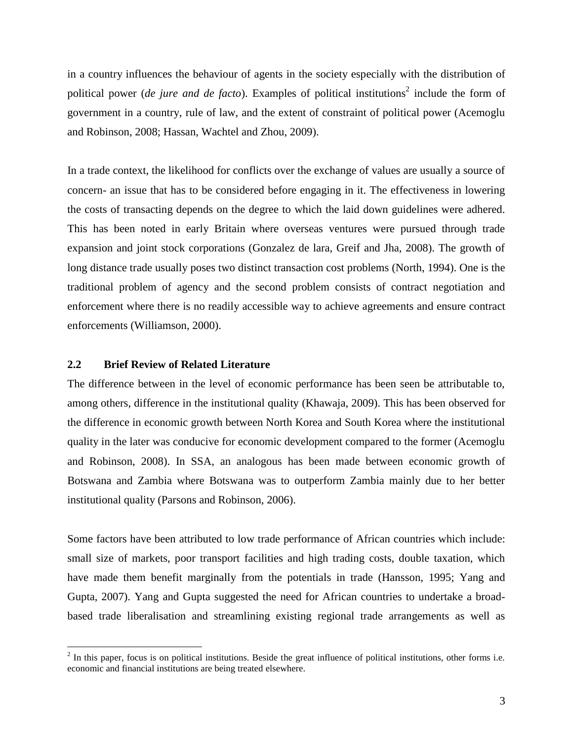in a country influences the behaviour of agents in the society especially with the distribution of political power (*de jure and de facto*). Examples of political institutions<sup>2</sup> include the form of government in a country, rule of law, and the extent of constraint of political power (Acemoglu and Robinson, 2008; Hassan, Wachtel and Zhou, 2009).

In a trade context, the likelihood for conflicts over the exchange of values are usually a source of concern- an issue that has to be considered before engaging in it. The effectiveness in lowering the costs of transacting depends on the degree to which the laid down guidelines were adhered. This has been noted in early Britain where overseas ventures were pursued through trade expansion and joint stock corporations (Gonzalez de lara, Greif and Jha, 2008). The growth of long distance trade usually poses two distinct transaction cost problems (North, 1994). One is the traditional problem of agency and the second problem consists of contract negotiation and enforcement where there is no readily accessible way to achieve agreements and ensure contract enforcements (Williamson, 2000).

#### **2.2 Brief Review of Related Literature**

 $\overline{a}$ 

The difference between in the level of economic performance has been seen be attributable to, among others, difference in the institutional quality (Khawaja, 2009). This has been observed for the difference in economic growth between North Korea and South Korea where the institutional quality in the later was conducive for economic development compared to the former (Acemoglu and Robinson, 2008). In SSA, an analogous has been made between economic growth of Botswana and Zambia where Botswana was to outperform Zambia mainly due to her better institutional quality (Parsons and Robinson, 2006).

Some factors have been attributed to low trade performance of African countries which include: small size of markets, poor transport facilities and high trading costs, double taxation, which have made them benefit marginally from the potentials in trade (Hansson, 1995; Yang and Gupta, 2007). Yang and Gupta suggested the need for African countries to undertake a broadbased trade liberalisation and streamlining existing regional trade arrangements as well as

 $2$  In this paper, focus is on political institutions. Beside the great influence of political institutions, other forms i.e. economic and financial institutions are being treated elsewhere.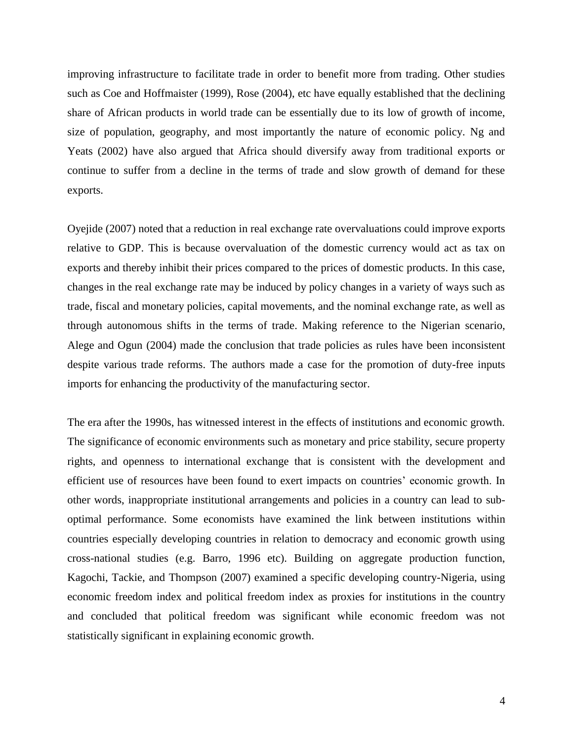improving infrastructure to facilitate trade in order to benefit more from trading. Other studies such as Coe and Hoffmaister (1999), Rose (2004), etc have equally established that the declining share of African products in world trade can be essentially due to its low of growth of income, size of population, geography, and most importantly the nature of economic policy. Ng and Yeats (2002) have also argued that Africa should diversify away from traditional exports or continue to suffer from a decline in the terms of trade and slow growth of demand for these exports.

Oyejide (2007) noted that a reduction in real exchange rate overvaluations could improve exports relative to GDP. This is because overvaluation of the domestic currency would act as tax on exports and thereby inhibit their prices compared to the prices of domestic products. In this case, changes in the real exchange rate may be induced by policy changes in a variety of ways such as trade, fiscal and monetary policies, capital movements, and the nominal exchange rate, as well as through autonomous shifts in the terms of trade. Making reference to the Nigerian scenario, Alege and Ogun (2004) made the conclusion that trade policies as rules have been inconsistent despite various trade reforms. The authors made a case for the promotion of duty-free inputs imports for enhancing the productivity of the manufacturing sector.

The era after the 1990s, has witnessed interest in the effects of institutions and economic growth. The significance of economic environments such as monetary and price stability, secure property rights, and openness to international exchange that is consistent with the development and efficient use of resources have been found to exert impacts on countries" economic growth. In other words, inappropriate institutional arrangements and policies in a country can lead to suboptimal performance. Some economists have examined the link between institutions within countries especially developing countries in relation to democracy and economic growth using cross-national studies (e.g. Barro, 1996 etc). Building on aggregate production function, Kagochi, Tackie, and Thompson (2007) examined a specific developing country-Nigeria, using economic freedom index and political freedom index as proxies for institutions in the country and concluded that political freedom was significant while economic freedom was not statistically significant in explaining economic growth.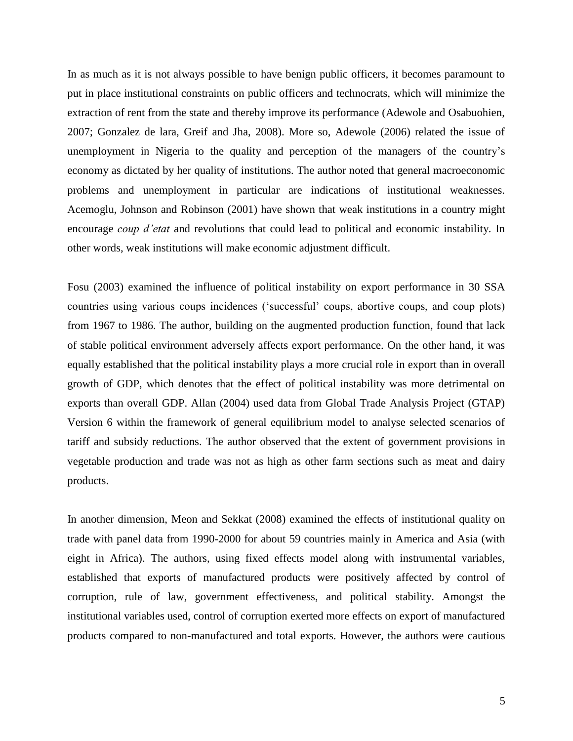In as much as it is not always possible to have benign public officers, it becomes paramount to put in place institutional constraints on public officers and technocrats, which will minimize the extraction of rent from the state and thereby improve its performance (Adewole and Osabuohien, 2007; Gonzalez de lara, Greif and Jha, 2008). More so, Adewole (2006) related the issue of unemployment in Nigeria to the quality and perception of the managers of the country"s economy as dictated by her quality of institutions. The author noted that general macroeconomic problems and unemployment in particular are indications of institutional weaknesses. Acemoglu, Johnson and Robinson (2001) have shown that weak institutions in a country might encourage *coup d'etat* and revolutions that could lead to political and economic instability. In other words, weak institutions will make economic adjustment difficult.

Fosu (2003) examined the influence of political instability on export performance in 30 SSA countries using various coups incidences ("successful" coups, abortive coups, and coup plots) from 1967 to 1986. The author, building on the augmented production function, found that lack of stable political environment adversely affects export performance. On the other hand, it was equally established that the political instability plays a more crucial role in export than in overall growth of GDP, which denotes that the effect of political instability was more detrimental on exports than overall GDP. Allan (2004) used data from Global Trade Analysis Project (GTAP) Version 6 within the framework of general equilibrium model to analyse selected scenarios of tariff and subsidy reductions. The author observed that the extent of government provisions in vegetable production and trade was not as high as other farm sections such as meat and dairy products.

In another dimension, Meon and Sekkat (2008) examined the effects of institutional quality on trade with panel data from 1990-2000 for about 59 countries mainly in America and Asia (with eight in Africa). The authors, using fixed effects model along with instrumental variables, established that exports of manufactured products were positively affected by control of corruption, rule of law, government effectiveness, and political stability. Amongst the institutional variables used, control of corruption exerted more effects on export of manufactured products compared to non-manufactured and total exports. However, the authors were cautious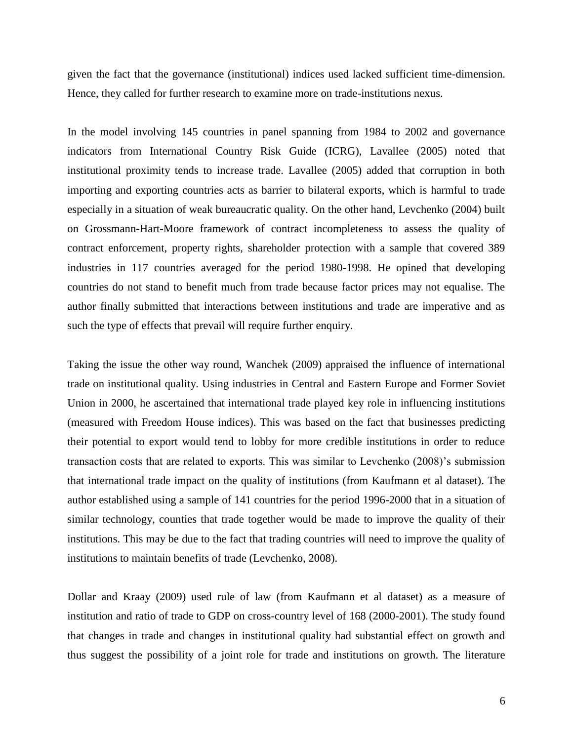given the fact that the governance (institutional) indices used lacked sufficient time-dimension. Hence, they called for further research to examine more on trade-institutions nexus.

In the model involving 145 countries in panel spanning from 1984 to 2002 and governance indicators from International Country Risk Guide (ICRG), Lavallee (2005) noted that institutional proximity tends to increase trade. Lavallee (2005) added that corruption in both importing and exporting countries acts as barrier to bilateral exports, which is harmful to trade especially in a situation of weak bureaucratic quality. On the other hand, Levchenko (2004) built on Grossmann-Hart-Moore framework of contract incompleteness to assess the quality of contract enforcement, property rights, shareholder protection with a sample that covered 389 industries in 117 countries averaged for the period 1980-1998. He opined that developing countries do not stand to benefit much from trade because factor prices may not equalise. The author finally submitted that interactions between institutions and trade are imperative and as such the type of effects that prevail will require further enquiry.

Taking the issue the other way round, Wanchek (2009) appraised the influence of international trade on institutional quality. Using industries in Central and Eastern Europe and Former Soviet Union in 2000, he ascertained that international trade played key role in influencing institutions (measured with Freedom House indices). This was based on the fact that businesses predicting their potential to export would tend to lobby for more credible institutions in order to reduce transaction costs that are related to exports. This was similar to Levchenko (2008)"s submission that international trade impact on the quality of institutions (from Kaufmann et al dataset). The author established using a sample of 141 countries for the period 1996-2000 that in a situation of similar technology, counties that trade together would be made to improve the quality of their institutions. This may be due to the fact that trading countries will need to improve the quality of institutions to maintain benefits of trade (Levchenko, 2008).

Dollar and Kraay (2009) used rule of law (from Kaufmann et al dataset) as a measure of institution and ratio of trade to GDP on cross-country level of 168 (2000-2001). The study found that changes in trade and changes in institutional quality had substantial effect on growth and thus suggest the possibility of a joint role for trade and institutions on growth. The literature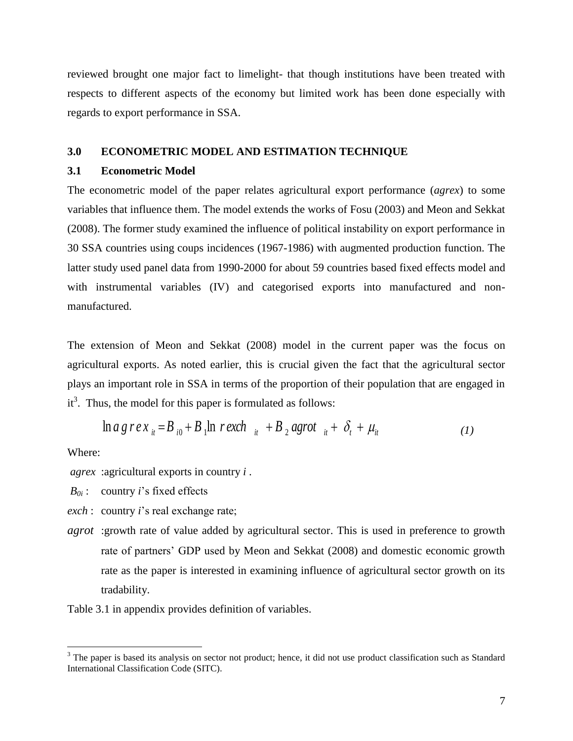reviewed brought one major fact to limelight- that though institutions have been treated with respects to different aspects of the economy but limited work has been done especially with regards to export performance in SSA.

## **3.0 ECONOMETRIC MODEL AND ESTIMATION TECHNIQUE**

## **3.1 Econometric Model**

The econometric model of the paper relates agricultural export performance (*agrex*) to some variables that influence them. The model extends the works of Fosu (2003) and Meon and Sekkat (2008). The former study examined the influence of political instability on export performance in 30 SSA countries using coups incidences (1967-1986) with augmented production function. The latter study used panel data from 1990-2000 for about 59 countries based fixed effects model and with instrumental variables (IV) and categorised exports into manufactured and nonmanufactured.

The extension of Meon and Sekkat (2008) model in the current paper was the focus on agricultural exports. As noted earlier, this is crucial given the fact that the agricultural sector plays an important role in SSA in terms of the proportion of their population that are engaged in  $it^3$ . Thus, the model for this paper is formulated as follows:

$$
\ln a \, g \, r \, e \, x_{it} = B_{i0} + B_1 \ln r \, exch_{it} + B_2 \, agrot_{it} + \delta_t + \mu_{it} \tag{1}
$$

Where:

 $\overline{a}$ 

*agrex* :agricultural exports in country *i* .

*B0i* : country *i*"s fixed effects

*exch* : country *i*"s real exchange rate;

*agrot* :growth rate of value added by agricultural sector. This is used in preference to growth rate of partners" GDP used by Meon and Sekkat (2008) and domestic economic growth rate as the paper is interested in examining influence of agricultural sector growth on its tradability.

Table 3.1 in appendix provides definition of variables.

<sup>&</sup>lt;sup>3</sup> The paper is based its analysis on sector not product; hence, it did not use product classification such as Standard International Classification Code (SITC).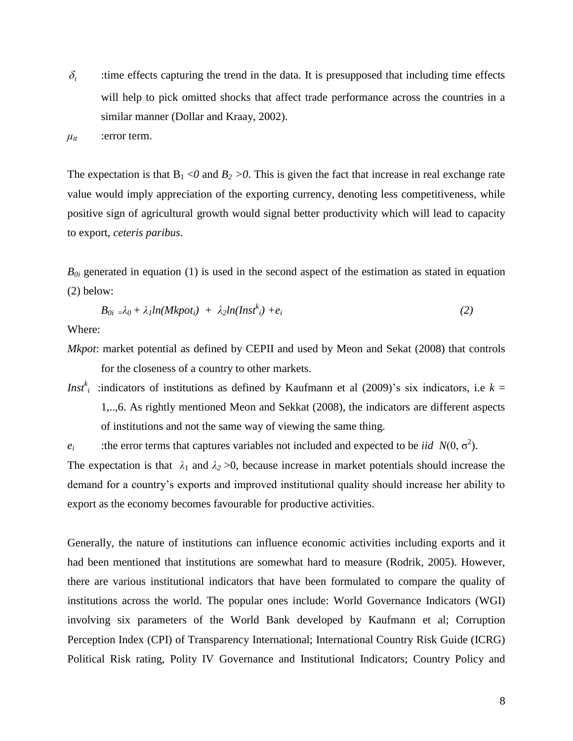$\delta_{\cdot}$ :time effects capturing the trend in the data. It is presupposed that including time effects will help to pick omitted shocks that affect trade performance across the countries in a similar manner (Dollar and Kraay, 2002).

 $\mu_{it}$  :error term.

The expectation is that  $B_1 < 0$  and  $B_2 > 0$ . This is given the fact that increase in real exchange rate value would imply appreciation of the exporting currency, denoting less competitiveness, while positive sign of agricultural growth would signal better productivity which will lead to capacity to export, *ceteris paribus*.

 $B_{0i}$  generated in equation (1) is used in the second aspect of the estimation as stated in equation (2) below:

$$
B_{0i} = \lambda_0 + \lambda_1 ln(Mkpot_i) + \lambda_2 ln(Inst^k_i) + e_i
$$
\n(2)

Where:

- *Mkpot*: market potential as defined by CEPII and used by Meon and Sekat (2008) that controls for the closeness of a country to other markets.
- *Inst*<sup>*k*</sup><sub>*i*</sub> :indicators of institutions as defined by Kaufmann et al (2009)'s six indicators, i.e *k* = 1,..,6. As rightly mentioned Meon and Sekkat (2008), the indicators are different aspects of institutions and not the same way of viewing the same thing.
- *e*<sup>*i*</sup> :the error terms that captures variables not included and expected to be *iid*  $N(0, \sigma^2)$ .

The expectation is that  $\lambda_1$  and  $\lambda_2 > 0$ , because increase in market potentials should increase the demand for a country"s exports and improved institutional quality should increase her ability to export as the economy becomes favourable for productive activities.

Generally, the nature of institutions can influence economic activities including exports and it had been mentioned that institutions are somewhat hard to measure (Rodrik, 2005). However, there are various institutional indicators that have been formulated to compare the quality of institutions across the world. The popular ones include: World Governance Indicators (WGI) involving six parameters of the World Bank developed by Kaufmann et al; Corruption Perception Index (CPI) of Transparency International; International Country Risk Guide (ICRG) Political Risk rating, Polity IV Governance and Institutional Indicators; Country Policy and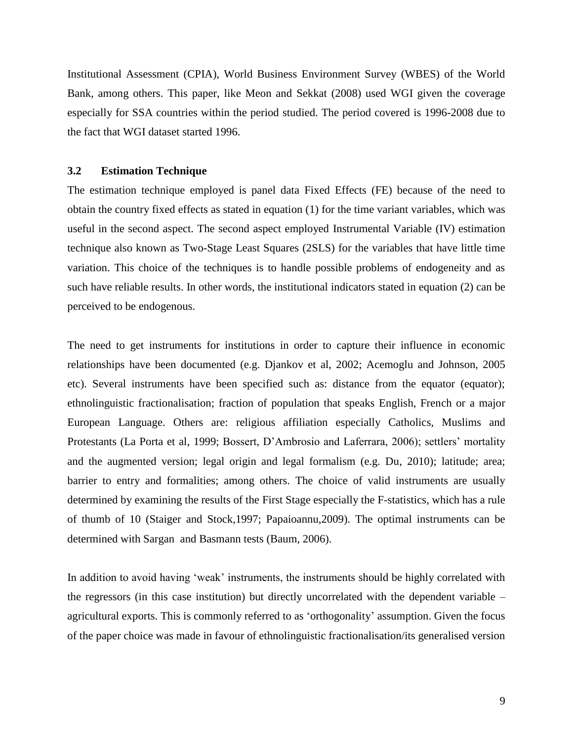Institutional Assessment (CPIA), World Business Environment Survey (WBES) of the World Bank, among others. This paper, like Meon and Sekkat (2008) used WGI given the coverage especially for SSA countries within the period studied. The period covered is 1996-2008 due to the fact that WGI dataset started 1996.

## **3.2 Estimation Technique**

The estimation technique employed is panel data Fixed Effects (FE) because of the need to obtain the country fixed effects as stated in equation (1) for the time variant variables, which was useful in the second aspect. The second aspect employed Instrumental Variable (IV) estimation technique also known as Two-Stage Least Squares (2SLS) for the variables that have little time variation. This choice of the techniques is to handle possible problems of endogeneity and as such have reliable results. In other words, the institutional indicators stated in equation (2) can be perceived to be endogenous.

The need to get instruments for institutions in order to capture their influence in economic relationships have been documented (e.g. Djankov et al, 2002; Acemoglu and Johnson, 2005 etc). Several instruments have been specified such as: distance from the equator (equator); ethnolinguistic fractionalisation; fraction of population that speaks English, French or a major European Language. Others are: religious affiliation especially Catholics, Muslims and Protestants (La Porta et al, 1999; Bossert, D'Ambrosio and Laferrara, 2006); settlers' mortality and the augmented version; legal origin and legal formalism (e.g. Du, 2010); latitude; area; barrier to entry and formalities; among others. The choice of valid instruments are usually determined by examining the results of the First Stage especially the F-statistics, which has a rule of thumb of 10 (Staiger and Stock,1997; Papaioannu,2009). The optimal instruments can be determined with Sargan and Basmann tests (Baum, 2006).

In addition to avoid having "weak" instruments, the instruments should be highly correlated with the regressors (in this case institution) but directly uncorrelated with the dependent variable – agricultural exports. This is commonly referred to as "orthogonality" assumption. Given the focus of the paper choice was made in favour of ethnolinguistic fractionalisation/its generalised version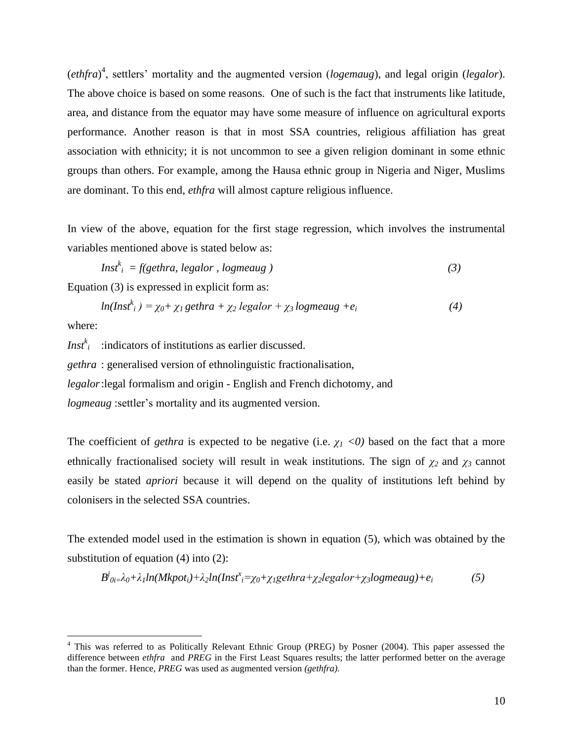(*ethfra*) 4 , settlers" mortality and the augmented version (*logemaug*), and legal origin (*legalor*). The above choice is based on some reasons. One of such is the fact that instruments like latitude, area, and distance from the equator may have some measure of influence on agricultural exports performance. Another reason is that in most SSA countries, religious affiliation has great association with ethnicity; it is not uncommon to see a given religion dominant in some ethnic groups than others. For example, among the Hausa ethnic group in Nigeria and Niger, Muslims are dominant. To this end, *ethfra* will almost capture religious influence.

In view of the above, equation for the first stage regression, which involves the instrumental variables mentioned above is stated below as:

$$
Insf_i^k = f(\text{gethra}, \text{legalor}, \text{logmeaug})
$$
\n<sup>(3)</sup>

Equation (3) is expressed in explicit form as:

$$
ln(Inst^k_i) = \chi_0 + \chi_1 gethra + \chi_2 legalor + \chi_3 logmeaug + e_i
$$
\n(4)

where:

 $\overline{a}$ 

*Inst<sup>k</sup>*</sup> : indicators of institutions as earlier discussed. *gethra* : generalised version of ethnolinguistic fractionalisation, *legalor*:legal formalism and origin - English and French dichotomy, and *logmeaug* :settler's mortality and its augmented version.

The coefficient of *gethra* is expected to be negative (i.e.  $\chi$ <sup>1</sup>  $\langle$ 0) based on the fact that a more ethnically fractionalised society will result in weak institutions. The sign of *χ2* and *χ3* cannot easily be stated *apriori* because it will depend on the quality of institutions left behind by colonisers in the selected SSA countries.

The extended model used in the estimation is shown in equation (5), which was obtained by the substitution of equation (4) into (2):

$$
B^j{}_{0i} = \lambda_0 + \lambda_1 ln(Mkpot_i) + \lambda_2 ln(Inst^x_i = \chi_0 + \chi_1 gethra + \chi_2 legalor + \chi_3 logmeaug) + e_i
$$
 (5)

<sup>4</sup> This was referred to as Politically Relevant Ethnic Group (PREG) by Posner (2004). This paper assessed the difference between *ethfra* and *PREG* in the First Least Squares results; the latter performed better on the average than the former. Hence, *PREG* was used as augmented version *(gethfra).*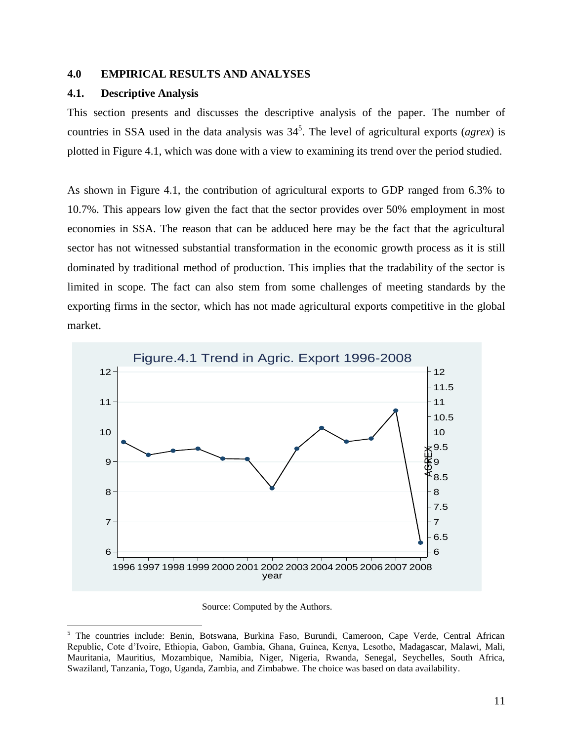## **4.0 EMPIRICAL RESULTS AND ANALYSES**

## **4.1. Descriptive Analysis**

 $\overline{a}$ 

This section presents and discusses the descriptive analysis of the paper. The number of countries in SSA used in the data analysis was  $34^5$ . The level of agricultural exports (*agrex*) is plotted in Figure 4.1, which was done with a view to examining its trend over the period studied.

As shown in Figure 4.1, the contribution of agricultural exports to GDP ranged from 6.3% to 10.7%. This appears low given the fact that the sector provides over 50% employment in most economies in SSA. The reason that can be adduced here may be the fact that the agricultural sector has not witnessed substantial transformation in the economic growth process as it is still dominated by traditional method of production. This implies that the tradability of the sector is limited in scope. The fact can also stem from some challenges of meeting standards by the exporting firms in the sector, which has not made agricultural exports competitive in the global market.



Source: Computed by the Authors.

<sup>5</sup> The countries include: Benin, Botswana, Burkina Faso, Burundi, Cameroon, Cape Verde, Central African Republic, Cote d"Ivoire, Ethiopia, Gabon, Gambia, Ghana, Guinea, Kenya, Lesotho, Madagascar, Malawi, Mali, Mauritania, Mauritius, Mozambique, Namibia, Niger, Nigeria, Rwanda, Senegal, Seychelles, South Africa, Swaziland, Tanzania, Togo, Uganda, Zambia, and Zimbabwe. The choice was based on data availability.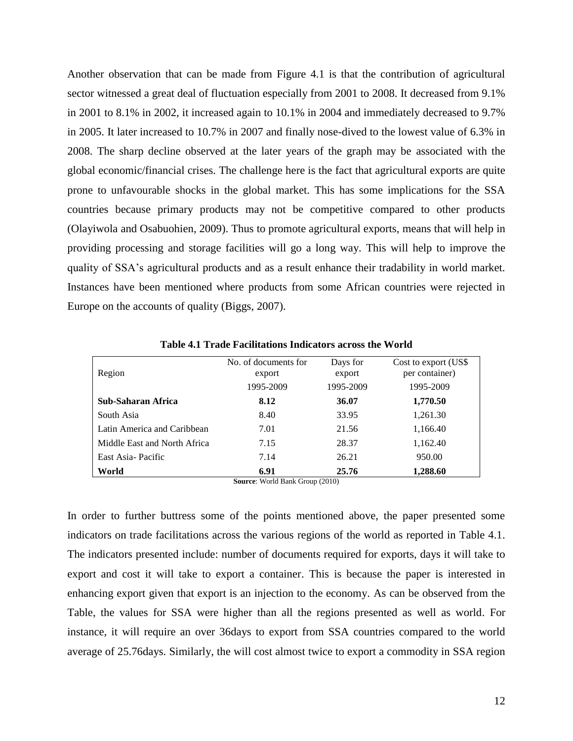Another observation that can be made from Figure 4.1 is that the contribution of agricultural sector witnessed a great deal of fluctuation especially from 2001 to 2008. It decreased from 9.1% in 2001 to 8.1% in 2002, it increased again to 10.1% in 2004 and immediately decreased to 9.7% in 2005. It later increased to 10.7% in 2007 and finally nose-dived to the lowest value of 6.3% in 2008. The sharp decline observed at the later years of the graph may be associated with the global economic/financial crises. The challenge here is the fact that agricultural exports are quite prone to unfavourable shocks in the global market. This has some implications for the SSA countries because primary products may not be competitive compared to other products (Olayiwola and Osabuohien, 2009). Thus to promote agricultural exports, means that will help in providing processing and storage facilities will go a long way. This will help to improve the quality of SSA"s agricultural products and as a result enhance their tradability in world market. Instances have been mentioned where products from some African countries were rejected in Europe on the accounts of quality (Biggs, 2007).

| Region                       | No. of documents for<br>export | Days for<br>export | Cost to export (US\$)<br>per container) |
|------------------------------|--------------------------------|--------------------|-----------------------------------------|
|                              | 1995-2009                      | 1995-2009          | 1995-2009                               |
| Sub-Saharan Africa           | 8.12                           | 36.07              | 1,770.50                                |
| South Asia                   | 8.40                           | 33.95              | 1,261.30                                |
| Latin America and Caribbean  | 7.01                           | 21.56              | 1,166.40                                |
| Middle East and North Africa | 7.15                           | 28.37              | 1,162.40                                |
| East Asia-Pacific            | 7.14                           | 26.21              | 950.00                                  |
| World                        | 6.91                           | 25.76              | 1,288.60                                |

**Table 4.1 Trade Facilitations Indicators across the World**

**Source**: World Bank Group (2010)

In order to further buttress some of the points mentioned above, the paper presented some indicators on trade facilitations across the various regions of the world as reported in Table 4.1. The indicators presented include: number of documents required for exports, days it will take to export and cost it will take to export a container. This is because the paper is interested in enhancing export given that export is an injection to the economy. As can be observed from the Table, the values for SSA were higher than all the regions presented as well as world. For instance, it will require an over 36days to export from SSA countries compared to the world average of 25.76days. Similarly, the will cost almost twice to export a commodity in SSA region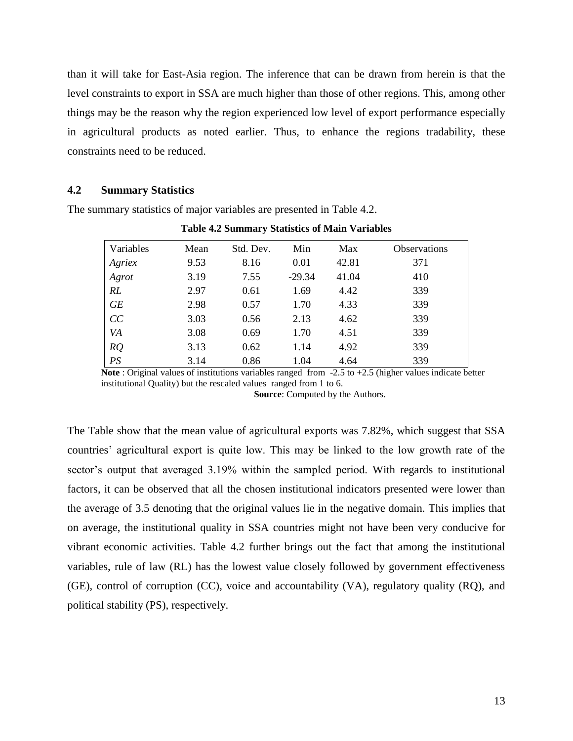than it will take for East-Asia region. The inference that can be drawn from herein is that the level constraints to export in SSA are much higher than those of other regions. This, among other things may be the reason why the region experienced low level of export performance especially in agricultural products as noted earlier. Thus, to enhance the regions tradability, these constraints need to be reduced.

## **4.2 Summary Statistics**

The summary statistics of major variables are presented in Table 4.2.

| Variables | Mean | Std. Dev. | Min      | Max   | <b>Observations</b> |
|-----------|------|-----------|----------|-------|---------------------|
| Agriex    | 9.53 | 8.16      | 0.01     | 42.81 | 371                 |
| Agrot     | 3.19 | 7.55      | $-29.34$ | 41.04 | 410                 |
| RL        | 2.97 | 0.61      | 1.69     | 4.42  | 339                 |
| <b>GE</b> | 2.98 | 0.57      | 1.70     | 4.33  | 339                 |
| CC        | 3.03 | 0.56      | 2.13     | 4.62  | 339                 |
| VA        | 3.08 | 0.69      | 1.70     | 4.51  | 339                 |
| RQ        | 3.13 | 0.62      | 1.14     | 4.92  | 339                 |
| PS        | 3.14 | 0.86      | 1.04     | 4.64  | 339                 |

**Table 4.2 Summary Statistics of Main Variables** 

**Note** : Original values of institutions variables ranged from -2.5 to +2.5 (higher values indicate better institutional Quality) but the rescaled values ranged from 1 to 6.

**Source**: Computed by the Authors.

The Table show that the mean value of agricultural exports was 7.82%, which suggest that SSA countries" agricultural export is quite low. This may be linked to the low growth rate of the sector's output that averaged 3.19% within the sampled period. With regards to institutional factors, it can be observed that all the chosen institutional indicators presented were lower than the average of 3.5 denoting that the original values lie in the negative domain. This implies that on average, the institutional quality in SSA countries might not have been very conducive for vibrant economic activities. Table 4.2 further brings out the fact that among the institutional variables, rule of law (RL) has the lowest value closely followed by government effectiveness (GE), control of corruption (CC), voice and accountability (VA), regulatory quality (RQ), and political stability (PS), respectively.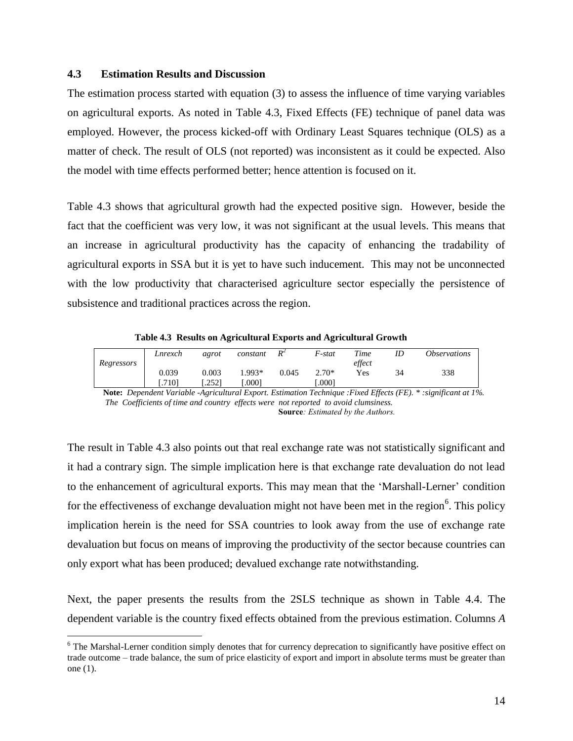## **4.3 Estimation Results and Discussion**

 $\overline{a}$ 

The estimation process started with equation (3) to assess the influence of time varying variables on agricultural exports. As noted in Table 4.3, Fixed Effects (FE) technique of panel data was employed. However, the process kicked-off with Ordinary Least Squares technique (OLS) as a matter of check. The result of OLS (not reported) was inconsistent as it could be expected. Also the model with time effects performed better; hence attention is focused on it.

Table 4.3 shows that agricultural growth had the expected positive sign. However, beside the fact that the coefficient was very low, it was not significant at the usual levels. This means that an increase in agricultural productivity has the capacity of enhancing the tradability of agricultural exports in SSA but it is yet to have such inducement. This may not be unconnected with the low productivity that characterised agriculture sector especially the persistence of subsistence and traditional practices across the region.

**Table 4.3 Results on Agricultural Exports and Agricultural Growth**

|            | Lnrexch | agrot | constant | $R^2$ | F-stat  | Time   |    | <i><b>Observations</b></i> |
|------------|---------|-------|----------|-------|---------|--------|----|----------------------------|
| Regressors |         |       |          |       |         | effect |    |                            |
|            | 0.039   | 0.003 | $.993*$  | 0.045 | $2.70*$ | Yes    | 34 | 338                        |
|            | .7101   | .2521 | .0001    |       | .0001   |        |    |                            |

**Note:** *Dependent Variable -Agricultural Export. Estimation Technique :Fixed Effects (FE). \* :significant at 1%. The Coefficients of time and country effects were not reported to avoid clumsiness.* **Source***: Estimated by the Authors.*

The result in Table 4.3 also points out that real exchange rate was not statistically significant and it had a contrary sign. The simple implication here is that exchange rate devaluation do not lead to the enhancement of agricultural exports. This may mean that the "Marshall-Lerner" condition for the effectiveness of exchange devaluation might not have been met in the region<sup>6</sup>. This policy implication herein is the need for SSA countries to look away from the use of exchange rate devaluation but focus on means of improving the productivity of the sector because countries can only export what has been produced; devalued exchange rate notwithstanding.

Next, the paper presents the results from the 2SLS technique as shown in Table 4.4. The dependent variable is the country fixed effects obtained from the previous estimation. Columns *A*

<sup>&</sup>lt;sup>6</sup> The Marshal-Lerner condition simply denotes that for currency deprecation to significantly have positive effect on trade outcome – trade balance, the sum of price elasticity of export and import in absolute terms must be greater than one (1).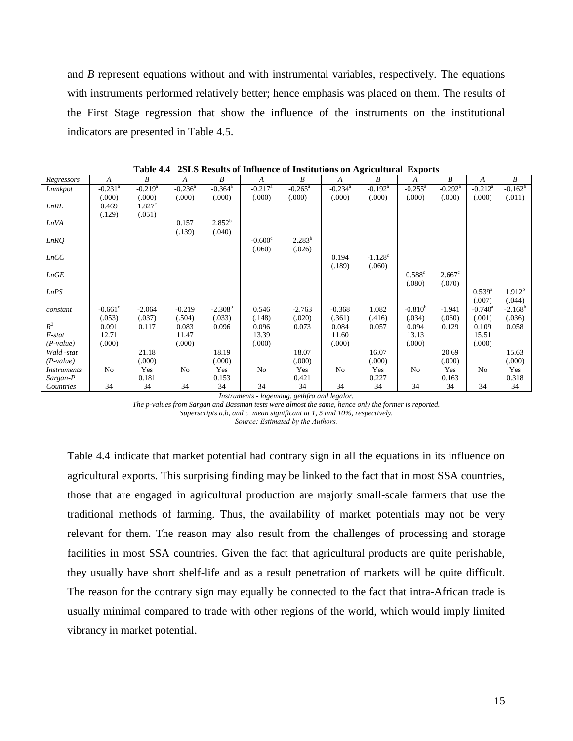and *B* represent equations without and with instrumental variables, respectively. The equations with instruments performed relatively better; hence emphasis was placed on them. The results of the First Stage regression that show the influence of the instruments on the institutional indicators are presented in Table 4.5.

| Regressors         | A                     | B                     | A          | $\boldsymbol{B}$      | $\boldsymbol{A}$      | B                   | $\boldsymbol{A}$      | -<br>B                | A                    | $\boldsymbol{B}$      | A                     | B          |
|--------------------|-----------------------|-----------------------|------------|-----------------------|-----------------------|---------------------|-----------------------|-----------------------|----------------------|-----------------------|-----------------------|------------|
| Lnmkpot            | $-0.231$ <sup>a</sup> | $-0.219$ <sup>a</sup> | $-0.236^a$ | $-0.364$ <sup>a</sup> | $-0.217$ <sup>a</sup> | $-0.265^{\text{a}}$ | $-0.234$ <sup>a</sup> | $-0.192$ <sup>a</sup> | $-0.255^{\text{a}}$  | $-0.292$ <sup>a</sup> | $-0.212^a$            | $-0.162^b$ |
|                    | (.000)                | (.000)                | (.000)     | (.000)                | (.000)                | (.000)              | (.000)                | (.000)                | (.000)               | (.000)                | (.000)                | (.011)     |
| <b>LnRL</b>        | 0.469                 | 1.827 <sup>c</sup>    |            |                       |                       |                     |                       |                       |                      |                       |                       |            |
|                    | (.129)                | (.051)                |            |                       |                       |                     |                       |                       |                      |                       |                       |            |
| <b>LnVA</b>        |                       |                       | 0.157      | 2.852 <sup>b</sup>    |                       |                     |                       |                       |                      |                       |                       |            |
|                    |                       |                       | (.139)     | (.040)                |                       |                     |                       |                       |                      |                       |                       |            |
| LnRO               |                       |                       |            |                       | $-0.600$ <sup>c</sup> | $2.283^{b}$         |                       |                       |                      |                       |                       |            |
|                    |                       |                       |            |                       | (.060)                | (.026)              |                       |                       |                      |                       |                       |            |
| LnCC               |                       |                       |            |                       |                       |                     | 0.194                 | $-1.128$ <sup>c</sup> |                      |                       |                       |            |
|                    |                       |                       |            |                       |                       |                     | (.189)                | (.060)                |                      |                       |                       |            |
| LnGE               |                       |                       |            |                       |                       |                     |                       |                       | $0.588$ <sup>c</sup> | $2.667^{\circ}$       |                       |            |
|                    |                       |                       |            |                       |                       |                     |                       |                       | (.080)               | (.070)                |                       |            |
| LnPS               |                       |                       |            |                       |                       |                     |                       |                       |                      |                       | $0.539^{a}$           | $1.912^b$  |
|                    |                       |                       |            |                       |                       |                     |                       |                       |                      |                       | (.007)                | (.044)     |
| constant           | $-0.661$ <sup>c</sup> | $-2.064$              | $-0.219$   | $-2.308b$             | 0.546                 | $-2.763$            | $-0.368$              | 1.082                 | $-0.810^{b}$         | $-1.941$              | $-0.740$ <sup>a</sup> | $-2.168^b$ |
|                    | (.053)                | (.037)                | (.504)     | (.033)                | (.148)                | (.020)              | (.361)                | (.416)                | (.034)               | (.060)                | (.001)                | (.036)     |
| $R^2$              | 0.091                 | 0.117                 | 0.083      | 0.096                 | 0.096                 | 0.073               | 0.084                 | 0.057                 | 0.094                | 0.129                 | 0.109                 | 0.058      |
| F-stat             | 12.71                 |                       | 11.47      |                       | 13.39                 |                     | 11.60                 |                       | 13.13                |                       | 15.51                 |            |
| $(P-value)$        | (.000)                |                       | (0.000)    |                       | (.000)                |                     | (.000)                |                       | (.000)               |                       | (.000)                |            |
| Wald -stat         |                       | 21.18                 |            | 18.19                 |                       | 18.07               |                       | 16.07                 |                      | 20.69                 |                       | 15.63      |
| $(P-value)$        |                       | (.000)                |            | (000)                 |                       | (.000)              |                       | (.000)                |                      | (.000)                |                       | (.000)     |
| <i>Instruments</i> | No                    | Yes                   | No         | Yes                   | $\rm No$              | Yes                 | $\rm No$              | Yes                   | N <sub>0</sub>       | Yes                   | No                    | Yes        |
| Sargan-P           |                       | 0.181                 |            | 0.153                 |                       | 0.421               |                       | 0.227                 |                      | 0.163                 |                       | 0.318      |
| Countries          | 34                    | 34                    | 34         | 34                    | 34                    | 34                  | 34                    | 34                    | 34                   | 34                    | 34                    | 34         |

**Table 4.4 2SLS Results of Influence of Institutions on Agricultural Exports**

*Instruments - logemaug, gethfra and legalor.* 

*The p-values from Sargan and Bassman tests were almost the same, hence only the former is reported. Superscripts a,b, and c mean significant at 1, 5 and 10%, respectively.*

*Source: Estimated by the Authors.*

Table 4.4 indicate that market potential had contrary sign in all the equations in its influence on agricultural exports. This surprising finding may be linked to the fact that in most SSA countries, those that are engaged in agricultural production are majorly small-scale farmers that use the traditional methods of farming. Thus, the availability of market potentials may not be very relevant for them. The reason may also result from the challenges of processing and storage facilities in most SSA countries. Given the fact that agricultural products are quite perishable, they usually have short shelf-life and as a result penetration of markets will be quite difficult. The reason for the contrary sign may equally be connected to the fact that intra-African trade is usually minimal compared to trade with other regions of the world, which would imply limited vibrancy in market potential.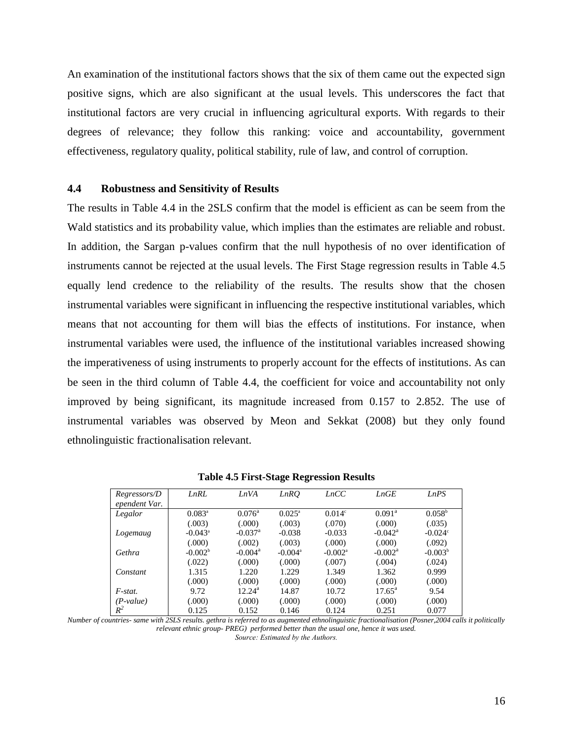An examination of the institutional factors shows that the six of them came out the expected sign positive signs, which are also significant at the usual levels. This underscores the fact that institutional factors are very crucial in influencing agricultural exports. With regards to their degrees of relevance; they follow this ranking: voice and accountability, government effectiveness, regulatory quality, political stability, rule of law, and control of corruption.

#### **4.4 Robustness and Sensitivity of Results**

The results in Table 4.4 in the 2SLS confirm that the model is efficient as can be seem from the Wald statistics and its probability value, which implies than the estimates are reliable and robust. In addition, the Sargan p-values confirm that the null hypothesis of no over identification of instruments cannot be rejected at the usual levels. The First Stage regression results in Table 4.5 equally lend credence to the reliability of the results. The results show that the chosen instrumental variables were significant in influencing the respective institutional variables, which means that not accounting for them will bias the effects of institutions. For instance, when instrumental variables were used, the influence of the institutional variables increased showing the imperativeness of using instruments to properly account for the effects of institutions. As can be seen in the third column of Table 4.4, the coefficient for voice and accountability not only improved by being significant, its magnitude increased from 0.157 to 2.852. The use of instrumental variables was observed by Meon and Sekkat (2008) but they only found ethnolinguistic fractionalisation relevant.

| Regressors/D<br>ependent Var. | <b>LnRL</b>      | LnVA                  | LnRQ                  | LnCC                  | LnGE             | LnPS             |
|-------------------------------|------------------|-----------------------|-----------------------|-----------------------|------------------|------------------|
| Legalor                       | $0.083^{\circ}$  | $0.076^{\circ}$       | $0.025^{\circ}$       | 0.014 <sup>c</sup>    | $0.091^{\rm a}$  | $0.058^{\rm b}$  |
|                               | (.003)           | (000)                 | (.003)                | (.070)                | (000)            | (.035)           |
| Logemaug                      | $-0.043^{\circ}$ | $-0.037$ <sup>a</sup> | $-0.038$              | $-0.033$              | $-0.042^{\rm a}$ | $-0.024^{\circ}$ |
|                               | (.000)           | (.002)                | (.003)                | (000)                 | (000)            | (.092)           |
| Gethra                        | $-0.002^{\circ}$ | $-0.004^{\rm a}$      | $-0.004$ <sup>a</sup> | $-0.002$ <sup>a</sup> | $-0.002^{\rm a}$ | $-0.003^b$       |
|                               | (.022)           | (000)                 | (.000)                | (.007)                | (.004)           | (.024)           |
| Constant                      | 1.315            | 1.220                 | 1.229                 | 1.349                 | 1.362            | 0.999            |
|                               | (.000)           | (.000)                | (000)                 | (000)                 | (.000)           | (.000)           |
| $F$ -stat.                    | 9.72             | $12.24^{\rm a}$       | 14.87                 | 10.72                 | $17.65^{\rm a}$  | 9.54             |
| (P-value)                     | (000)            | (.000)                | (.000)                | (000)                 | (.000)           | (.000)           |
| $R^2$                         | 0.125            | 0.152                 | 0.146                 | 0.124                 | 0.251            | 0.077            |

**Table 4.5 First-Stage Regression Results**

*Number of countries- same with 2SLS results. gethra is referred to as augmented ethnolinguistic fractionalisation (Posner,2004 calls it politically relevant ethnic group- PREG) performed better than the usual one, hence it was used. Source: Estimated by the Authors.*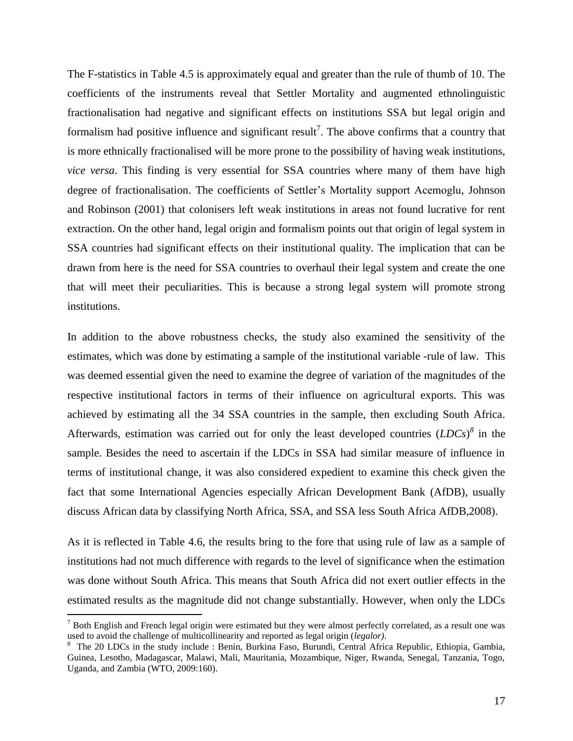The F-statistics in Table 4.5 is approximately equal and greater than the rule of thumb of 10. The coefficients of the instruments reveal that Settler Mortality and augmented ethnolinguistic fractionalisation had negative and significant effects on institutions SSA but legal origin and formalism had positive influence and significant result<sup>7</sup>. The above confirms that a country that is more ethnically fractionalised will be more prone to the possibility of having weak institutions, *vice versa*. This finding is very essential for SSA countries where many of them have high degree of fractionalisation. The coefficients of Settler"s Mortality support Acemoglu, Johnson and Robinson (2001) that colonisers left weak institutions in areas not found lucrative for rent extraction. On the other hand, legal origin and formalism points out that origin of legal system in SSA countries had significant effects on their institutional quality. The implication that can be drawn from here is the need for SSA countries to overhaul their legal system and create the one that will meet their peculiarities. This is because a strong legal system will promote strong institutions.

In addition to the above robustness checks, the study also examined the sensitivity of the estimates, which was done by estimating a sample of the institutional variable -rule of law. This was deemed essential given the need to examine the degree of variation of the magnitudes of the respective institutional factors in terms of their influence on agricultural exports. This was achieved by estimating all the 34 SSA countries in the sample, then excluding South Africa. Afterwards, estimation was carried out for only the least developed countries (*LDCs*) *8* in the sample. Besides the need to ascertain if the LDCs in SSA had similar measure of influence in terms of institutional change, it was also considered expedient to examine this check given the fact that some International Agencies especially African Development Bank (AfDB), usually discuss African data by classifying North Africa, SSA, and SSA less South Africa AfDB,2008).

As it is reflected in Table 4.6, the results bring to the fore that using rule of law as a sample of institutions had not much difference with regards to the level of significance when the estimation was done without South Africa. This means that South Africa did not exert outlier effects in the estimated results as the magnitude did not change substantially. However, when only the LDCs

 $\overline{a}$ 

 $<sup>7</sup>$  Both English and French legal origin were estimated but they were almost perfectly correlated, as a result one was</sup> used to avoid the challenge of multicollinearity and reported as legal origin (*legalor)*.

<sup>&</sup>lt;sup>8</sup> The 20 LDCs in the study include : Benin, Burkina Faso, Burundi, Central Africa Republic, Ethiopia, Gambia, Guinea, Lesotho, Madagascar, Malawi, Mali, Mauritania, Mozambique, Niger, Rwanda, Senegal, Tanzania, Togo, Uganda, and Zambia (WTO, 2009:160).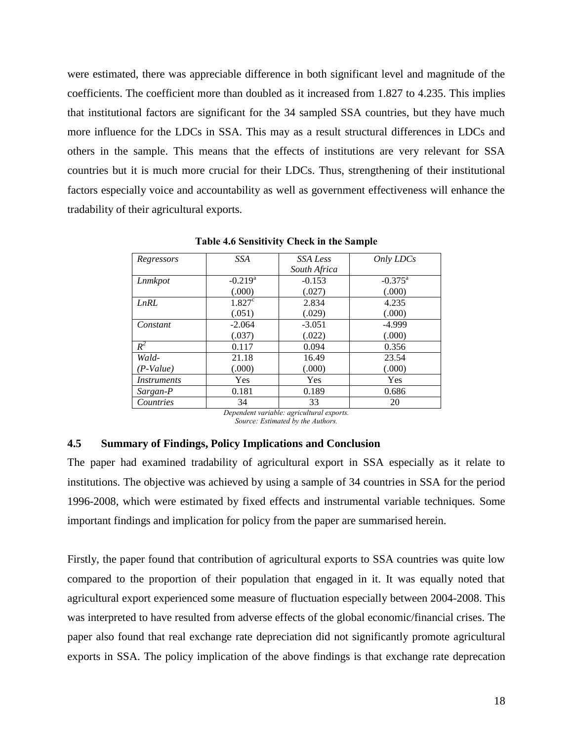were estimated, there was appreciable difference in both significant level and magnitude of the coefficients. The coefficient more than doubled as it increased from 1.827 to 4.235. This implies that institutional factors are significant for the 34 sampled SSA countries, but they have much more influence for the LDCs in SSA. This may as a result structural differences in LDCs and others in the sample. This means that the effects of institutions are very relevant for SSA countries but it is much more crucial for their LDCs. Thus, strengthening of their institutional factors especially voice and accountability as well as government effectiveness will enhance the tradability of their agricultural exports.

| Regressors         | <b>SSA</b> | SSA Less     | Only LDCs           |
|--------------------|------------|--------------|---------------------|
|                    |            | South Africa |                     |
| Lnmkpot            | $-0.219^a$ | $-0.153$     | $-0.375^{\text{a}}$ |
|                    | (.000)     | (.027)       | (.000)              |
| LnRL               | $1.827^c$  | 2.834        | 4.235               |
|                    | (.051)     | (.029)       | (.000)              |
| Constant           | $-2.064$   | $-3.051$     | $-4.999$            |
|                    | (.037)     | (.022)       | (.000)              |
| $R^2$              | 0.117      | 0.094        | 0.356               |
| Wald-              | 21.18      | 16.49        | 23.54               |
| (P-Value)          | (.000)     | (.000)       | (.000)              |
| <i>Instruments</i> | Yes        | Yes          | Yes                 |
| Sargan-P           | 0.181      | 0.189        | 0.686               |
| Countries          | 34         | 33           | 20                  |

**Table 4.6 Sensitivity Check in the Sample**

*Dependent variable: agricultural exports. Source: Estimated by the Authors.*

## **4.5 Summary of Findings, Policy Implications and Conclusion**

The paper had examined tradability of agricultural export in SSA especially as it relate to institutions. The objective was achieved by using a sample of 34 countries in SSA for the period 1996-2008, which were estimated by fixed effects and instrumental variable techniques. Some important findings and implication for policy from the paper are summarised herein.

Firstly, the paper found that contribution of agricultural exports to SSA countries was quite low compared to the proportion of their population that engaged in it. It was equally noted that agricultural export experienced some measure of fluctuation especially between 2004-2008. This was interpreted to have resulted from adverse effects of the global economic/financial crises. The paper also found that real exchange rate depreciation did not significantly promote agricultural exports in SSA. The policy implication of the above findings is that exchange rate deprecation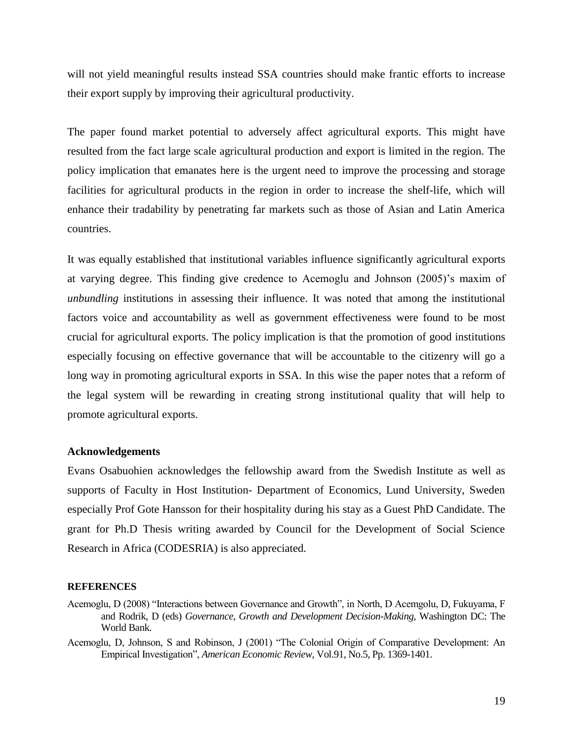will not yield meaningful results instead SSA countries should make frantic efforts to increase their export supply by improving their agricultural productivity.

The paper found market potential to adversely affect agricultural exports. This might have resulted from the fact large scale agricultural production and export is limited in the region. The policy implication that emanates here is the urgent need to improve the processing and storage facilities for agricultural products in the region in order to increase the shelf-life, which will enhance their tradability by penetrating far markets such as those of Asian and Latin America countries.

It was equally established that institutional variables influence significantly agricultural exports at varying degree. This finding give credence to Acemoglu and Johnson (2005)"s maxim of *unbundling* institutions in assessing their influence. It was noted that among the institutional factors voice and accountability as well as government effectiveness were found to be most crucial for agricultural exports. The policy implication is that the promotion of good institutions especially focusing on effective governance that will be accountable to the citizenry will go a long way in promoting agricultural exports in SSA. In this wise the paper notes that a reform of the legal system will be rewarding in creating strong institutional quality that will help to promote agricultural exports.

#### **Acknowledgements**

Evans Osabuohien acknowledges the fellowship award from the Swedish Institute as well as supports of Faculty in Host Institution- Department of Economics, Lund University, Sweden especially Prof Gote Hansson for their hospitality during his stay as a Guest PhD Candidate. The grant for Ph.D Thesis writing awarded by Council for the Development of Social Science Research in Africa (CODESRIA) is also appreciated.

#### **REFERENCES**

- Acemoglu, D (2008) "Interactions between Governance and Growth", in North, D Acemgolu, D, Fukuyama, F and Rodrik, D (eds) *Governance, Growth and Development Decision-Making,* Washington DC: The World Bank.
- Acemoglu, D, Johnson, S and Robinson, J (2001) "The Colonial Origin of Comparative Development: An Empirical Investigation", *American Economic Review*, Vol.91, No.5, Pp. 1369-1401.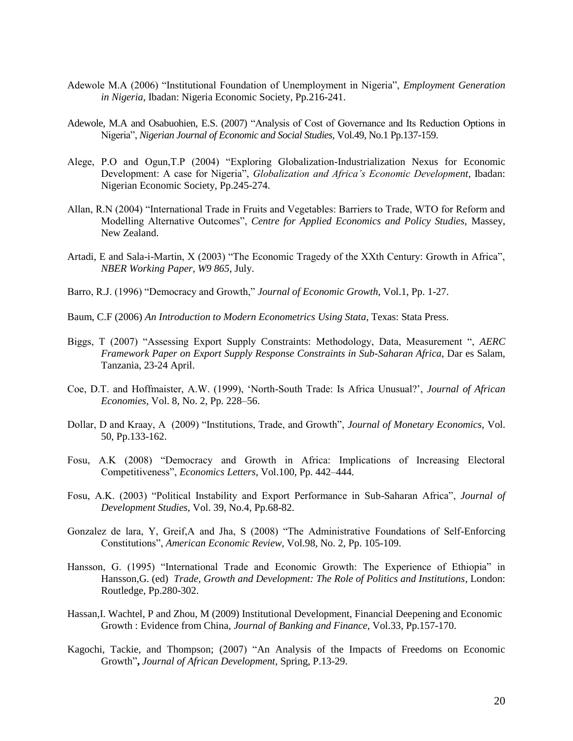- Adewole M.A (2006) "Institutional Foundation of Unemployment in Nigeria", *Employment Generation in Nigeria*, Ibadan: Nigeria Economic Society, Pp.216-241.
- Adewole, M.A and Osabuohien, E.S. (2007) "Analysis of Cost of Governance and Its Reduction Options in Nigeria", *Nigerian Journal of Economic and Social Studies,* Vol.49, No.1 Pp.137-159.
- Alege, P.O and Ogun,T.P (2004) "Exploring Globalization-Industrialization Nexus for Economic Development: A case for Nigeria", *Globalization and Africa's Economic Development,* Ibadan: Nigerian Economic Society, Pp.245-274.
- Allan, R.N (2004) "International Trade in Fruits and Vegetables: Barriers to Trade, WTO for Reform and Modelling Alternative Outcomes", *Centre for Applied Economics and Policy Studies,* Massey, New Zealand.
- Artadi, E and Sala-i-Martin, X (2003) "The Economic Tragedy of the XXth Century: Growth in Africa", *NBER Working Paper, W9 865*, July.
- Barro, R.J. (1996) "Democracy and Growth," *Journal of Economic Growth,* Vol.1, Pp. 1-27.
- Baum, C.F (2006) *An Introduction to Modern Econometrics Using Stata*, Texas: Stata Press.
- Biggs, T (2007) "Assessing Export Supply Constraints: Methodology, Data, Measurement ", *AERC Framework Paper on Export Supply Response Constraints in Sub-Saharan Africa,* Dar es Salam, Tanzania, 23-24 April.
- Coe, D.T. and Hoffmaister, A.W. (1999), "North-South Trade: Is Africa Unusual?", *Journal of African Economies*, Vol. 8, No. 2, Pp. 228–56.
- Dollar, D and Kraay, A (2009) "Institutions, Trade, and Growth", *Journal of Monetary Economics,* Vol. 50, Pp.133-162.
- Fosu, A.K (2008) "Democracy and Growth in Africa: Implications of Increasing Electoral Competitiveness", *Economics Letters*, Vol.100, Pp. 442–444.
- Fosu, A.K. (2003) "Political Instability and Export Performance in Sub-Saharan Africa", *Journal of Development Studies,* Vol. 39, No.4, Pp.68-82.
- Gonzalez de lara, Y, Greif,A and Jha, S (2008) "The Administrative Foundations of Self-Enforcing Constitutions", *American Economic Review,* Vol.98, No. 2, Pp. 105-109.
- Hansson, G. (1995) "International Trade and Economic Growth: The Experience of Ethiopia" in Hansson,G. (ed) *Trade, Growth and Development: The Role of Politics and Institutions*, London: Routledge, Pp.280-302.
- Hassan,I. Wachtel, P and Zhou, M (2009) Institutional Development, Financial Deepening and Economic Growth : Evidence from China, *Journal of Banking and Finance*, Vol.33, Pp.157-170.
- Kagochi, Tackie, and Thompson; (2007) "An Analysis of the Impacts of Freedoms on Economic Growth"**,** *Journal of African Development,* Spring, P.13-29.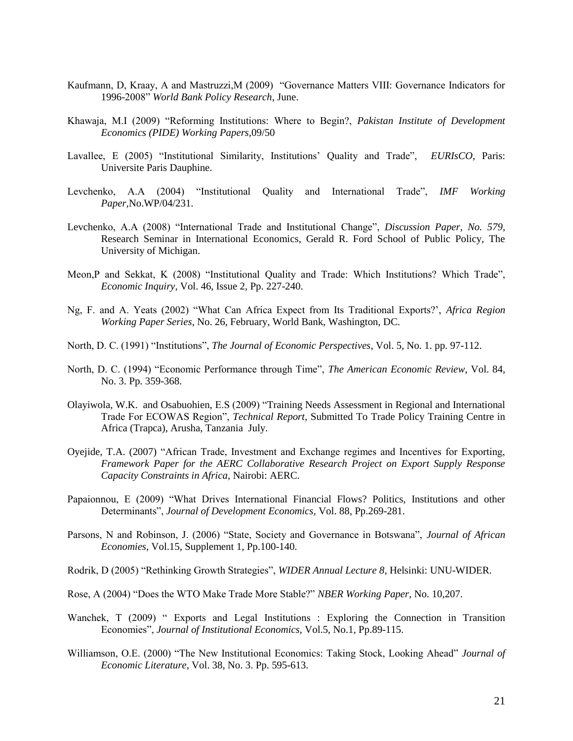- Kaufmann, D, Kraay, A and Mastruzzi,M (2009) "Governance Matters VIII: Governance Indicators for 1996-2008" *World Bank Policy Research*, June.
- Khawaja, M.I (2009) "Reforming Institutions: Where to Begin?, *Pakistan Institute of Development Economics (PIDE) Working Papers*,09/50
- Lavallee, E (2005) "Institutional Similarity, Institutions" Quality and Trade", *EURIsCO*, Paris: Universite Paris Dauphine.
- Levchenko, A.A (2004) "Institutional Quality and International Trade", *IMF Working Paper,*No.WP/04/231.
- Levchenko, A.A (2008) "International Trade and Institutional Change", *Discussion Paper, No. 579*, Research Seminar in International Economics, Gerald R. Ford School of Public Policy, The University of Michigan.
- Meon,P and Sekkat, K (2008) "Institutional Quality and Trade: Which Institutions? Which Trade", *Economic Inquiry*, Vol. 46, Issue 2, Pp. 227-240.
- Ng, F. and A. Yeats (2002) "What Can Africa Expect from Its Traditional Exports?", *Africa Region Working Paper Series*, No. 26, February, World Bank, Washington, DC.
- North, D. C. (1991) "Institutions", *The Journal of Economic Perspectives*, Vol. 5, No. 1. pp. 97-112.
- North, D. C. (1994) "Economic Performance through Time", *The American Economic Review*, Vol. 84, No. 3. Pp. 359-368.
- Olayiwola, W.K. and Osabuohien, E.S (2009) "Training Needs Assessment in Regional and International Trade For ECOWAS Region", *Technical Report,* Submitted To [Trade Policy Training Centre in](http://www.trapca.com/)  [Africa](http://www.trapca.com/) (Trapca), Arusha, Tanzania July.
- Oyejide, T.A. (2007) "African Trade, Investment and Exchange regimes and Incentives for Exporting, *Framework Paper for the AERC Collaborative Research Project on Export Supply Response Capacity Constraints in Africa*, Nairobi: AERC.
- Papaionnou, E (2009) "What Drives International Financial Flows? Politics, Institutions and other Determinants", *Journal of Development Economics,* Vol. 88, Pp.269-281.
- Parsons, N and Robinson, J. (2006) "State, Society and Governance in Botswana", *Journal of African Economies*, Vol.15, Supplement 1, Pp.100-140.
- Rodrik, D (2005) "Rethinking Growth Strategies", *WIDER Annual Lecture 8*, Helsinki: UNU-WIDER.
- Rose, A (2004) "Does the WTO Make Trade More Stable?" *NBER Working Paper*, No. 10,207.
- Wanchek, T (2009) " Exports and Legal Institutions : Exploring the Connection in Transition Economies", *Journal of Institutional Economics,* Vol.5, No.1, Pp.89-115.
- Williamson, O.E. (2000) "The New Institutional Economics: Taking Stock, Looking Ahead" *Journal of Economic Literature*, Vol. 38, No. 3. Pp. 595-613.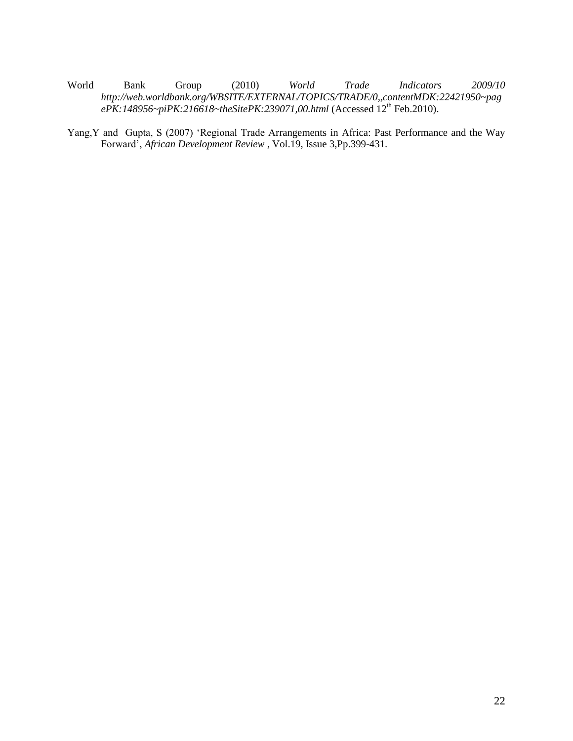- World Bank Group (2010) *World Trade Indicators 2009/10 http://web.worldbank.org/WBSITE/EXTERNAL/TOPICS/TRADE/0,,contentMDK:22421950~pag ePK:148956~piPK:216618~theSitePK:239071,00.html* (Accessed 12<sup>th</sup> Feb.2010).
- Yang,Y and Gupta, S (2007) "Regional Trade Arrangements in Africa: Past Performance and the Way Forward", *African Development Review* , Vol.19, Issue 3,Pp.399-431.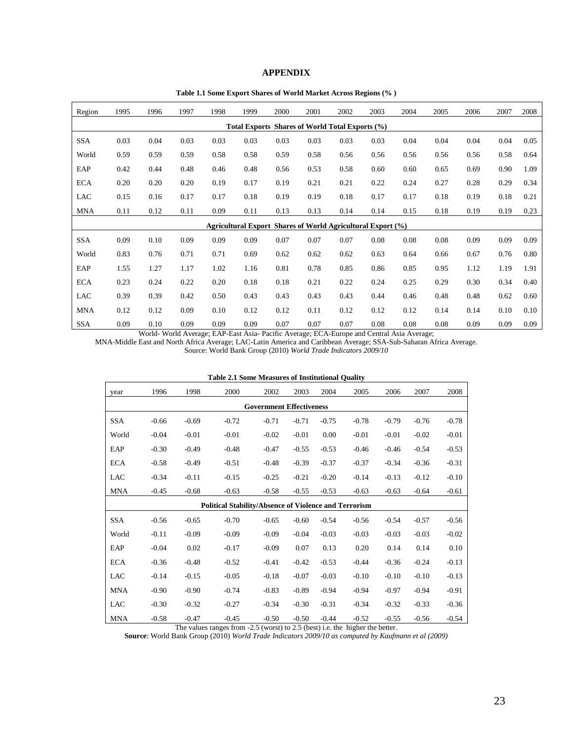#### **APPENDIX**

**Table 1.1 Some Export Shares of World Market Across Regions (% )**

| Region                                          | 1995 | 1996 | 1997 | 1998 | 1999 | 2000 | 2001 | 2002 | 2003                                                               | 2004 | 2005 | 2006 | 2007 | 2008 |
|-------------------------------------------------|------|------|------|------|------|------|------|------|--------------------------------------------------------------------|------|------|------|------|------|
| Total Exports Shares of World Total Exports (%) |      |      |      |      |      |      |      |      |                                                                    |      |      |      |      |      |
| <b>SSA</b>                                      | 0.03 | 0.04 | 0.03 | 0.03 | 0.03 | 0.03 | 0.03 | 0.03 | 0.03                                                               | 0.04 | 0.04 | 0.04 | 0.04 | 0.05 |
| World                                           | 0.59 | 0.59 | 0.59 | 0.58 | 0.58 | 0.59 | 0.58 | 0.56 | 0.56                                                               | 0.56 | 0.56 | 0.56 | 0.58 | 0.64 |
| EAP                                             | 0.42 | 0.44 | 0.48 | 0.46 | 0.48 | 0.56 | 0.53 | 0.58 | 0.60                                                               | 0.60 | 0.65 | 0.69 | 0.90 | 1.09 |
| <b>ECA</b>                                      | 0.20 | 0.20 | 0.20 | 0.19 | 0.17 | 0.19 | 0.21 | 0.21 | 0.22                                                               | 0.24 | 0.27 | 0.28 | 0.29 | 0.34 |
| <b>LAC</b>                                      | 0.15 | 0.16 | 0.17 | 0.17 | 0.18 | 0.19 | 0.19 | 0.18 | 0.17                                                               | 0.17 | 0.18 | 0.19 | 0.18 | 0.21 |
| <b>MNA</b>                                      | 0.11 | 0.12 | 0.11 | 0.09 | 0.11 | 0.13 | 0.13 | 0.14 | 0.14                                                               | 0.15 | 0.18 | 0.19 | 0.19 | 0.23 |
|                                                 |      |      |      |      |      |      |      |      | <b>Agricultural Export Shares of World Agricultural Export (%)</b> |      |      |      |      |      |
| <b>SSA</b>                                      | 0.09 | 0.10 | 0.09 | 0.09 | 0.09 | 0.07 | 0.07 | 0.07 | 0.08                                                               | 0.08 | 0.08 | 0.09 | 0.09 | 0.09 |
| World                                           | 0.83 | 0.76 | 0.71 | 0.71 | 0.69 | 0.62 | 0.62 | 0.62 | 0.63                                                               | 0.64 | 0.66 | 0.67 | 0.76 | 0.80 |
| EAP                                             | 1.55 | 1.27 | 1.17 | 1.02 | 1.16 | 0.81 | 0.78 | 0.85 | 0.86                                                               | 0.85 | 0.95 | 1.12 | 1.19 | 1.91 |
| <b>ECA</b>                                      | 0.23 | 0.24 | 0.22 | 0.20 | 0.18 | 0.18 | 0.21 | 0.22 | 0.24                                                               | 0.25 | 0.29 | 0.30 | 0.34 | 0.40 |
| <b>LAC</b>                                      | 0.39 | 0.39 | 0.42 | 0.50 | 0.43 | 0.43 | 0.43 | 0.43 | 0.44                                                               | 0.46 | 0.48 | 0.48 | 0.62 | 0.60 |
| <b>MNA</b>                                      | 0.12 | 0.12 | 0.09 | 0.10 | 0.12 | 0.12 | 0.11 | 0.12 | 0.12                                                               | 0.12 | 0.14 | 0.14 | 0.10 | 0.10 |
| <b>SSA</b>                                      | 0.09 | 0.10 | 0.09 | 0.09 | 0.09 | 0.07 | 0.07 | 0.07 | 0.08                                                               | 0.08 | 0.08 | 0.09 | 0.09 | 0.09 |

World- World Average; EAP-East Asia- Pacific Average; ECA-Europe and Central Asia Average;

MNA-Middle East and North Africa Average; LAC-Latin America and Caribbean Average; SSA-Sub-Saharan Africa Average.

Source: World Bank Group (2010) *World Trade Indicators 2009/10*

|            |                                 |         | Table 2.1 Some inteasures of misututional Quanty             |         |         |         |         |         |         |         |
|------------|---------------------------------|---------|--------------------------------------------------------------|---------|---------|---------|---------|---------|---------|---------|
| year       | 1996                            | 1998    | 2000                                                         | 2002    | 2003    | 2004    | 2005    | 2006    | 2007    | 2008    |
|            | <b>Government Effectiveness</b> |         |                                                              |         |         |         |         |         |         |         |
| SSA        | $-0.66$                         | $-0.69$ | $-0.72$                                                      | $-0.71$ | $-0.71$ | $-0.75$ | $-0.78$ | $-0.79$ | $-0.76$ | $-0.78$ |
| World      | $-0.04$                         | $-0.01$ | $-0.01$                                                      | $-0.02$ | $-0.01$ | 0.00    | $-0.01$ | $-0.01$ | $-0.02$ | $-0.01$ |
| EAP        | $-0.30$                         | $-0.49$ | $-0.48$                                                      | $-0.47$ | $-0.55$ | $-0.53$ | $-0.46$ | $-0.46$ | $-0.54$ | $-0.53$ |
| <b>ECA</b> | $-0.58$                         | $-0.49$ | $-0.51$                                                      | $-0.48$ | $-0.39$ | $-0.37$ | $-0.37$ | $-0.34$ | $-0.36$ | $-0.31$ |
| <b>LAC</b> | $-0.34$                         | $-0.11$ | $-0.15$                                                      | $-0.25$ | $-0.21$ | $-0.20$ | $-0.14$ | $-0.13$ | $-0.12$ | $-0.10$ |
| <b>MNA</b> | $-0.45$                         | $-0.68$ | $-0.63$                                                      | $-0.58$ | $-0.55$ | $-0.53$ | $-0.63$ | $-0.63$ | $-0.64$ | $-0.61$ |
|            |                                 |         | <b>Political Stability/Absence of Violence and Terrorism</b> |         |         |         |         |         |         |         |
| <b>SSA</b> | $-0.56$                         | $-0.65$ | $-0.70$                                                      | $-0.65$ | $-0.60$ | $-0.54$ | $-0.56$ | $-0.54$ | $-0.57$ | $-0.56$ |
| World      | $-0.11$                         | $-0.09$ | $-0.09$                                                      | $-0.09$ | $-0.04$ | $-0.03$ | $-0.03$ | $-0.03$ | $-0.03$ | $-0.02$ |
| EAP        | $-0.04$                         | 0.02    | $-0.17$                                                      | $-0.09$ | 0.07    | 0.13    | 0.20    | 0.14    | 0.14    | 0.10    |
| <b>ECA</b> | $-0.36$                         | $-0.48$ | $-0.52$                                                      | $-0.41$ | $-0.42$ | $-0.53$ | $-0.44$ | $-0.36$ | $-0.24$ | $-0.13$ |
| LAC        | $-0.14$                         | $-0.15$ | $-0.05$                                                      | $-0.18$ | $-0.07$ | $-0.03$ | $-0.10$ | $-0.10$ | $-0.10$ | $-0.13$ |
| <b>MNA</b> | $-0.90$                         | $-0.90$ | $-0.74$                                                      | $-0.83$ | $-0.89$ | $-0.94$ | $-0.94$ | $-0.97$ | $-0.94$ | $-0.91$ |
| LAC        | $-0.30$                         | $-0.32$ | $-0.27$                                                      | $-0.34$ | $-0.30$ | $-0.31$ | $-0.34$ | $-0.32$ | $-0.33$ | $-0.36$ |
| <b>MNA</b> | $-0.58$                         | $-0.47$ | $-0.45$                                                      | $-0.50$ | $-0.50$ | $-0.44$ | $-0.52$ | $-0.55$ | $-0.56$ | $-0.54$ |

**Table 2.1 Some Measures of Institutional Quality**

The values ranges from -2.5 (worst) to 2.5 (best) i.e. the higher the better.

**Source**: World Bank Group (2010) *World Trade Indicators 2009/10 as computed by Kaufmann et al (2009)*